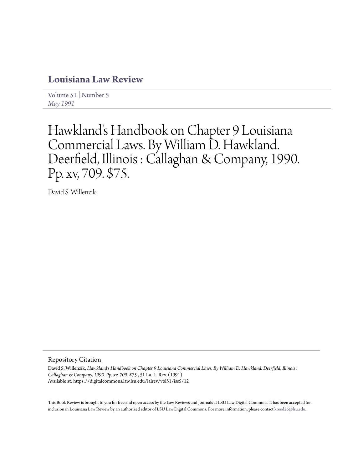# **[Louisiana Law Review](https://digitalcommons.law.lsu.edu/lalrev)**

[Volume 51](https://digitalcommons.law.lsu.edu/lalrev/vol51) | [Number 5](https://digitalcommons.law.lsu.edu/lalrev/vol51/iss5) *[May 1991](https://digitalcommons.law.lsu.edu/lalrev/vol51/iss5)*

# Hawkland's Handbook on Chapter 9 Louisiana Commercial Laws. By William D. Hawkland. Deerfield, Illinois : Callaghan & Company, 1990. Pp. xv, 709. \$75.

David S. Willenzik

## Repository Citation

David S. Willenzik, *Hawkland's Handbook on Chapter 9 Louisiana Commercial Laws. By William D. Hawkland. Deerfield, Illinois : Callaghan & Company, 1990. Pp. xv, 709. \$75.*, 51 La. L. Rev. (1991) Available at: https://digitalcommons.law.lsu.edu/lalrev/vol51/iss5/12

This Book Review is brought to you for free and open access by the Law Reviews and Journals at LSU Law Digital Commons. It has been accepted for inclusion in Louisiana Law Review by an authorized editor of LSU Law Digital Commons. For more information, please contact [kreed25@lsu.edu](mailto:kreed25@lsu.edu).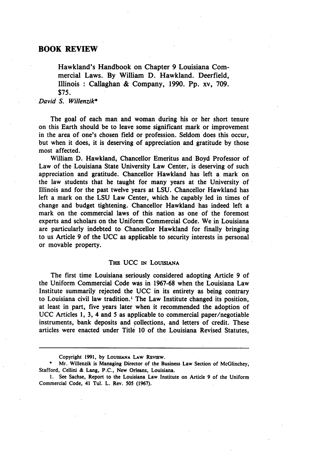Hawkland's Handbook on Chapter **9** Louisiana Commercial Laws. **By** William **D.** Hawkland. Deerfield, Illinois **:** Callaghan **&** Company, **1990. Pp.** xv, **709. \$75.**

*David S. Willenzik\**

The goal of each man and woman during his or her short tenure on this Earth should be to leave some significant mark or improvement in the area of one's chosen field or profession. Seldom does this occur, but when it does, it is deserving of appreciation and gratitude **by** those most affected.

William **D.** Hawkland, Chancellor Emeritus and Boyd Professor of Law of the Louisiana State University Law Center, is deserving of such appreciation and gratitude. Chancellor Hawkland has left a mark on the law students that he taught for many years at the University of Illinois and for the past twelve years at **LSU.** Chancellor Hawkland has left a mark on the **LSU** Law Center, which he capably led in times of change and budget tightening. Chancellor Hawkland has indeed left a mark on the commercial laws of this nation as one of the foremost experts and scholars on the Uniform Commercial Code. We in Louisiana are particularly indebted to Chancellor Hawkland for finally bringing to us Article **9** of the **UCC** as applicable to security interests in personal or movable property.

### **THE UCC IN** LOUISANA

The first time Louisiana seriously considered adopting Article **9** of the Uniform Commercial Code was in **1967-68** when the Louisiana Law Institute summarily rejected the **UCC** in its entirety as being contrary to Louisiana civil law tradition.' The Law Institute changed its position, at least in part, five years later when it recommended the adoption of **UCC** Articles **1, 3,** 4 and **5** as applicable to commercial paper/negotiable instruments, bank deposits and collections, and letters of credit. These articles were enacted under Title **10** of the Louisiana Revised Statutes,

Copyright **1991, by LOUISIANA LAw REvIEw.**

**<sup>\*</sup>** Mr. Willenzik is Managing Director of the Business Law Section of McGlinchey, Stafford, Cellini **&** Lang, **P.C.,** New Orleans, Louisiana.

**<sup>1.</sup>** See Sachse, Report to the Louisiana Law Institute on Article **9** of the Uniform Commercial Code, 41 Tul. L. Rev. **505 (1967).**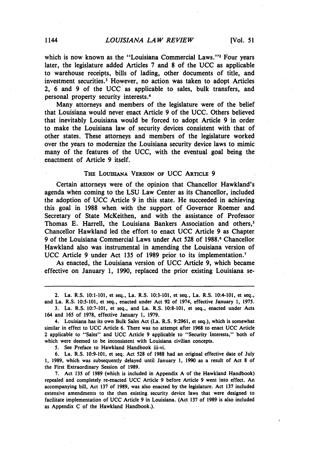which is now known as the "Louisiana Commercial Laws."<sup>2</sup> Four years later, the legislature added Articles **7** and **8** of the **UCC** as applicable to warehouse receipts, bills of lading, other documents of title, and investment securities.' However, no action was taken to adopt Articles 2, **6** and **9** of the **UCC** as applicable to sales, bulk transfers, and personal property security interests.<sup>4</sup>

Many attorneys and members of the legislature were of the belief that Louisiana would never enact Article **9** of the UCC. Others believed that inevitably Louisiana would be forced to adopt Article **9** in order to make the Louisiana law of security devices consistent with that of other states. These attorneys and members of the legislature worked over the years to modernize the Louisiana security device laws to mimic many of the features of the UCC, with the eventual goal being the enactment of Article **9** itself.

#### **THE LOUISIANA VERSION OF** UCC **ARTICLE 9**

Certain attorneys were of the opinion that Chancellor Hawkland's agenda when coming to the LSU Law Center as its Chancellor, included the adoption of UCC Article 9 in this state. He succeeded in achieving this goal in **1988** when with the support of Governor Roemer and Secretary of State McKeithen, and with the assistance of Professor Thomas **E.** Harrell, the Louisiana Bankers Association and others,' Chancellor Hawkland led the effort to enact **UCC** Article **9** as Chapter **9** of the Louisiana Commercial Laws under Act **528** of **1988.6** Chancellor Hawkland also was instrumental in amending the Louisiana version of **UCC** Article **9** under Act **135** of **1989** prior to its implementation. <sup>7</sup>

As enacted, the Louisiana version of **UCC** Article **9,** which became effective on January **1, 1990,** replaced the prior existing Louisiana se-

**7.** Act **135** of **1989** (which is included in Appendix **A** of the Hawkland Handbook) repealed and completely re-enacted **UCC** Article **9** before Article **9** went into effect. An accompanying bill, Act **137** of **1989,** was also enacted **by** the legislature. Act **137** included extensive amendments to the then existing security device laws that were designed to facilitate implementation of **UCC** Article **9** in Louisiana. (Act **137** of **1989** is also included as Appendix **C** of the Hawkland Handbook.).

<sup>2.</sup> La. R.S. **10:1-101,** et seq., La. R.S. **10:3-101, et** seq., La. R.S. 10:4-101, et seq.,

and La. R.S. **10:5-101, et** seq., enacted under Act **92** of 1974, effective January **1, 1975. 3.** La. R.S. **10:7-101,** et seq., and La. R.S. **10:8-101,** et seq., enacted under Acts 164 and **165** of **1978,** effective January **1, 1979.**

<sup>4.</sup> Louisiana has its own Bulk Sales Act (La. R.S. **9:2961,** et seq.), which is somewhat similar in effect to **UCC** Article **6.** There was no attempt after **1968** to enact **UCC** Article 2 applicable to "Sales" and **UCC** Article **9** applicable to "Security Interests," both of which were deemed to be inconsistent with Louisiana civilian concepts.

**<sup>5.</sup>** See Preface to Hawkland Handbook iii-vi.

**<sup>6.</sup>** La. R.S. **10:9-101,** et seq. Act **528** of **1988** had an original effective date of July **1, 1989,** which was subsequently delayed until January **1, 1990** as a result of Act **8** of the First Extraordinary Session of **1989.**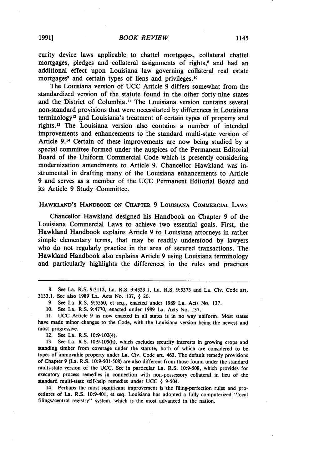curity device laws applicable to chattel mortgages, collateral chattel mortgages, pledges and collateral assignments of rights,<sup>8</sup> and had an additional effect upon Louisiana law governing collateral real estate mortgages<sup>9</sup> and certain types of liens and privileges.<sup>10</sup>

The Louisiana version of UCC Article 9 differs somewhat from the standardized version of the statute found in the other forty-nine states and the District of Columbia." The Louisiana version contains several non-standard provisions that were necessitated by differences in Louisiana terminology12 and Louisiana's treatment of certain types of property and rights.'3 The Louisiana version also contains a number of intended improvements and enhancements to the standard multi-state version of Article 9.14 Certain of these improvements are now being studied by a special committee formed under the auspices of the Permanent Editorial Board of the Uniform Commercial Code which is presently considering modernization amendments to Article 9. Chancellor Hawkland was instrumental in drafting many of the Louisiana enhancements to Article 9 and serves as a member of the UCC Permanent Editorial Board and its Article 9 Study Committee.

#### **HAWKIAND's** HANDBOOK **ON** CHAPTER **9 LOUISIANA** COMMERCIAL **LAWS**

Chancellor Hawkland designed his Handbook on Chapter **9** of the Louisiana Commercial Laws to achieve two essential goals. First, the Hawkland Handbook explains Article **9** to Louisiana attorneys in rather simple elementary terms, that may be readily understood **by** lawyers who do not regularly practice in the area of secured transactions. The Hawkland Handbook also explains Article **9** using Louisiana terminology and particularly highlights the differences in the rules and practices

**8.** See La. R.S. **9:3112,** La. R.S. 9:4323.1, La. R.S. **9:5373** and La. Civ. Code art. **3133.1.** See also **1989** La. Acts No. **137,** § 20.

**9.** See La. R.S. **9:5550,** et seq., enacted under **1989** La. Acts No. **137.**

**10.** See La. R.S. **9:4770,** enacted under **1989** La. Acts No. **137.**

**11. UCC** Article **9** as now enacted in all states is in no way uniform. Most states have made minor changes to the Code, with the Louisiana version being the newest and most progressive.

12. See La. R.S. 10:9-102(4).

**13.** See La. R.S. **10:9-105(h),** which excludes security interests in growing crops and standing timber from coverage under the statute, both of which are considered to be types of immovable property under La. Civ. Code art. 463. The default remedy provisions of Chapter **9** (La. R.S. **10:9-501-508)** are also different from those found under the standard multi-state version of the **UCC.** See in particular La. R.S. **10:9-508,** which provides for executory process remedies in connection with non-possessory collateral in lieu of the standard multi-state self-help remedies under **UCC** § 9-504.

14. Perhaps the most significant improvement is the filing-perfection rules and procedures of La. R.S. 10:9-401, et seq. Louisiana has adopted a fully computerized "local filings/central registry" system, which is the most advanced in the nation.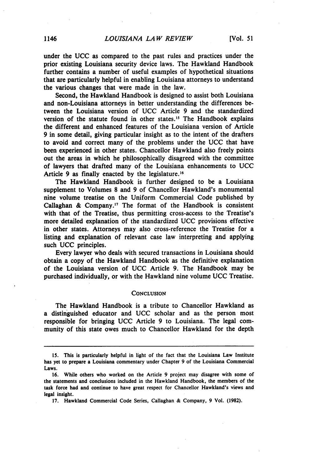under the **UCC** as compared to the past rules and practices under the prior existing Louisiana security device laws. The Hawkland Handbook further contains a number of useful examples of hypothetical situations that are particularly helpful in enabling Louisiana attorneys to understand the various changes that were made in the law.

Second, the Hawkland Handbook is designed to assist both Louisiana and non-Louisiana attorneys in better understanding the differences between the Louisiana version of **UCC** Article **9** and the standardized version of the statute found in other states.<sup>15</sup> The Handbook explains the different and enhanced features of the Louisiana version of Article **9** in some detail, giving particular insight as to the intent of the drafters to avoid and correct many of the problems under the **UCC** that have been experienced in other states. Chancellor Hawkland also freely points out the areas in which he philosophically disagreed with the committee of lawyers that drafted many of the Louisiana enhancements to **UCC** Article 9 as finally enacted by the legislature.<sup>16</sup>

The Hawkland Handbook is further designed to be a Louisiana supplement to Volumes **8** and **9** of Chancellor Hawkland's monumental nine volume treatise on the Uniform Commercial Code published **by** Callaghan **&** Company.' 7 The format of the Handbook is consistent with that of the Treatise, thus permitting cross-access to the Treatise's more detailed explanation of the standardized **UCC** provisions effective in other states. Attorneys may also cross-reference the Treatise for a listing and explanation of relevant case law interpreting and applying such **UCC** principles.

Every lawyer who deals with secured transactions in Louisiana should obtain a copy of the Hawkland Handbook as the definitive explanation of the Louisiana version of **UCC** Article **9.** The Handbook may be purchased individually, or with the Hawkland nine volume **UCC** Treatise.

#### **CONCLUSION**

The Hawkland Handbook is a tribute to Chancellor Hawkland as a distinguished educator and **UCC** scholar and as the person most responsible for bringing **UCC** Article **9** to Louisiana. The legal community of this state owes much to Chancellor Hawkland for the depth

**<sup>15.</sup>** This is particularly helpful in light of the fact that the Louisiana Law Institute has yet to prepare a Louisiana commentary under Chapter **9** of the Louisiana Commercial Laws.

**<sup>16.</sup>** While others who worked on the Article **9** project may disagree with some of the statements and conclusions included in the Hawkland Handbook, the members of the task force had and continue to have great respect for Chancellor Hawkland's views and legal insight.

**<sup>17.</sup>** Hawkland Commercial Code Series, Callaghan **&** Company, **9** Vol. **(1982).**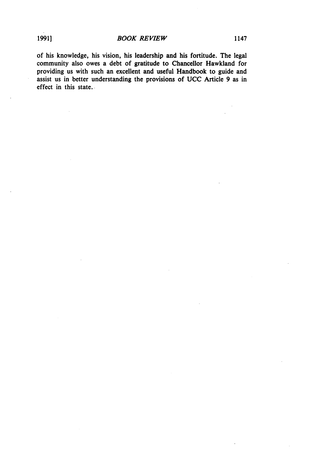$\bar{z}$